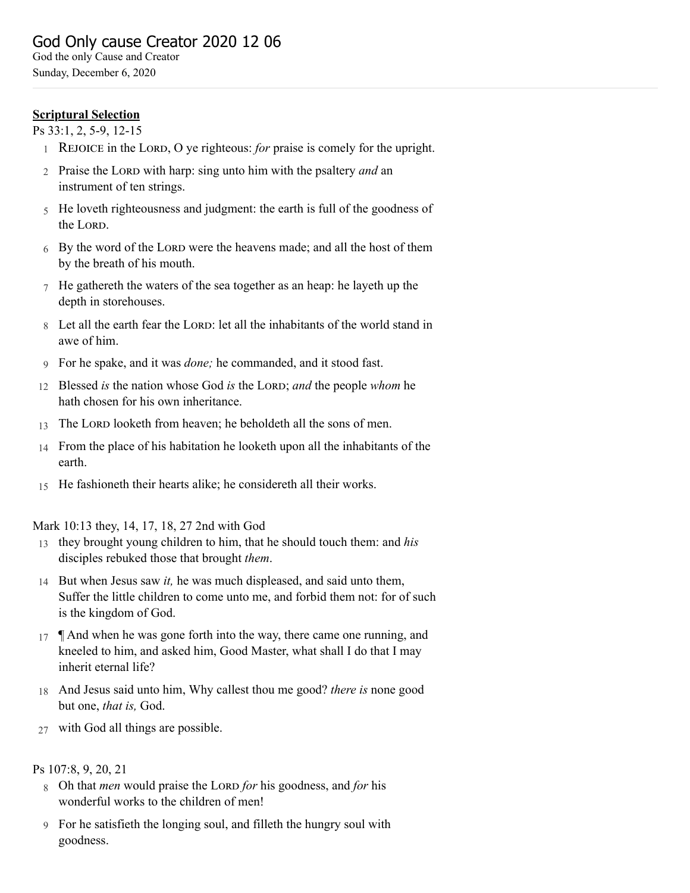# **Scriptural Selection**

Ps 33:1, 2, 5-9, 12-15

- 1 REJOICE in the LORD, O ye righteous: *for* praise is comely for the upright.
- 2 Praise the LORD with harp: sing unto him with the psaltery *and* an instrument of ten strings.
- 5 He loveth righteousness and judgment: the earth is full of the goodness of the LORD.
- 6 By the word of the LORD were the heavens made; and all the host of them by the breath of his mouth.
- 7 He gathereth the waters of the sea together as an heap: he layeth up the depth in storehouses.
- 8 Let all the earth fear the LORD: let all the inhabitants of the world stand in awe of him.
- 9 For he spake, and it was *done;* he commanded, and it stood fast.
- 12 Blessed *is* the nation whose God *is* the LORD; *and* the people *whom* he hath chosen for his own inheritance.
- 13 The LORD looketh from heaven; he beholdeth all the sons of men.
- 14 From the place of his habitation he looketh upon all the inhabitants of the earth.
- 15 He fashioneth their hearts alike; he considereth all their works.

#### Mark 10:13 they, 14, 17, 18, 27 2nd with God

- 13 they brought young children to him, that he should touch them: and *his* disciples rebuked those that brought *them*.
- 14 But when Jesus saw *it,* he was much displeased, and said unto them, Suffer the little children to come unto me, and forbid them not: for of such is the kingdom of God.
- 17  $\parallel$  And when he was gone forth into the way, there came one running, and kneeled to him, and asked him, Good Master, what shall I do that I may inherit eternal life?
- 18 And Jesus said unto him, Why callest thou me good? *there is* none good but one, *that is,* God.
- 27 with God all things are possible.

## Ps 107:8, 9, 20, 21

- 8 Oh that *men* would praise the L *for* his goodness, and *for* his wonderful works to the children of men!
- 9 For he satisfieth the longing soul, and filleth the hungry soul with goodness.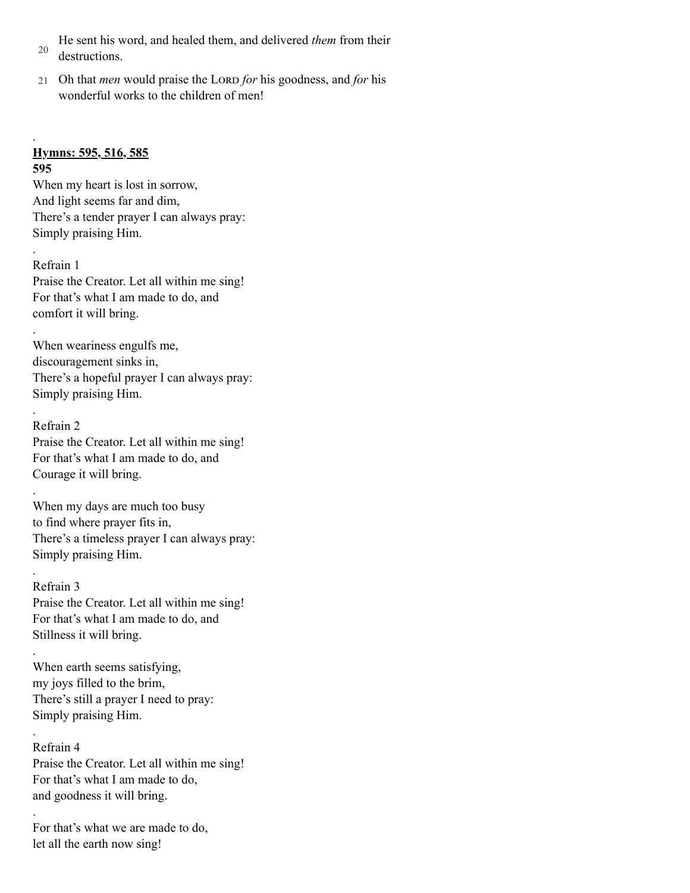- 20 He sent his word, and healed them, and delivered *them* from their destructions.
- 21 Oh that *men* would praise the LORD for his goodness, and for his wonderful works to the children of men!

# **Hymns: 595, 516, 585**

**595**

.

.

.

.

.

.

.

.

.

When my heart is lost in sorrow, And light seems far and dim, There's a tender prayer I can always pray: Simply praising Him.

Refrain 1 Praise the Creator. Let all within me sing! For that's what I am made to do, and comfort it will bring.

When weariness engulfs me, discouragement sinks in, There's a hopeful prayer I can always pray: Simply praising Him.

Refrain 2 Praise the Creator. Let all within me sing! For that's what I am made to do, and Courage it will bring.

When my days are much too busy to find where prayer fits in, There's a timeless prayer I can always pray: Simply praising Him.

Refrain 3 Praise the Creator. Let all within me sing! For that's what I am made to do, and Stillness it will bring.

When earth seems satisfying, my joys filled to the brim, There's still a prayer I need to pray: Simply praising Him.

Refrain 4 Praise the Creator. Let all within me sing! For that's what I am made to do, and goodness it will bring.

For that's what we are made to do, let all the earth now sing!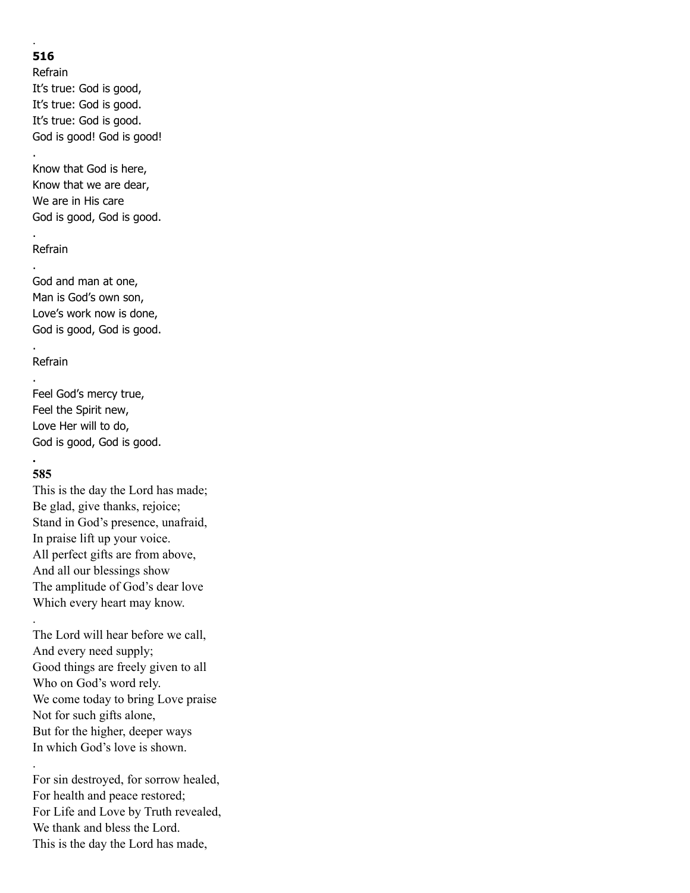# **516**

.

.

.

.

.

Refrain It's true: God is good, It's true: God is good. It's true: God is good. God is good! God is good!

Know that God is here, Know that we are dear, We are in His care God is good, God is good.

#### Refrain

God and man at one, Man is God's own son, Love's work now is done, God is good, God is good.

### Refrain

. Feel God's mercy true, Feel the Spirit new, Love Her will to do, God is good, God is good.

#### **. 585**

.

.

This is the day the Lord has made; Be glad, give thanks, rejoice; Stand in God's presence, unafraid, In praise lift up your voice. All perfect gifts are from above, And all our blessings show The amplitude of God's dear love Which every heart may know.

The Lord will hear before we call, And every need supply; Good things are freely given to all Who on God's word rely. We come today to bring Love praise Not for such gifts alone, But for the higher, deeper ways In which God's love is shown.

For sin destroyed, for sorrow healed, For health and peace restored; For Life and Love by Truth revealed, We thank and bless the Lord. This is the day the Lord has made,